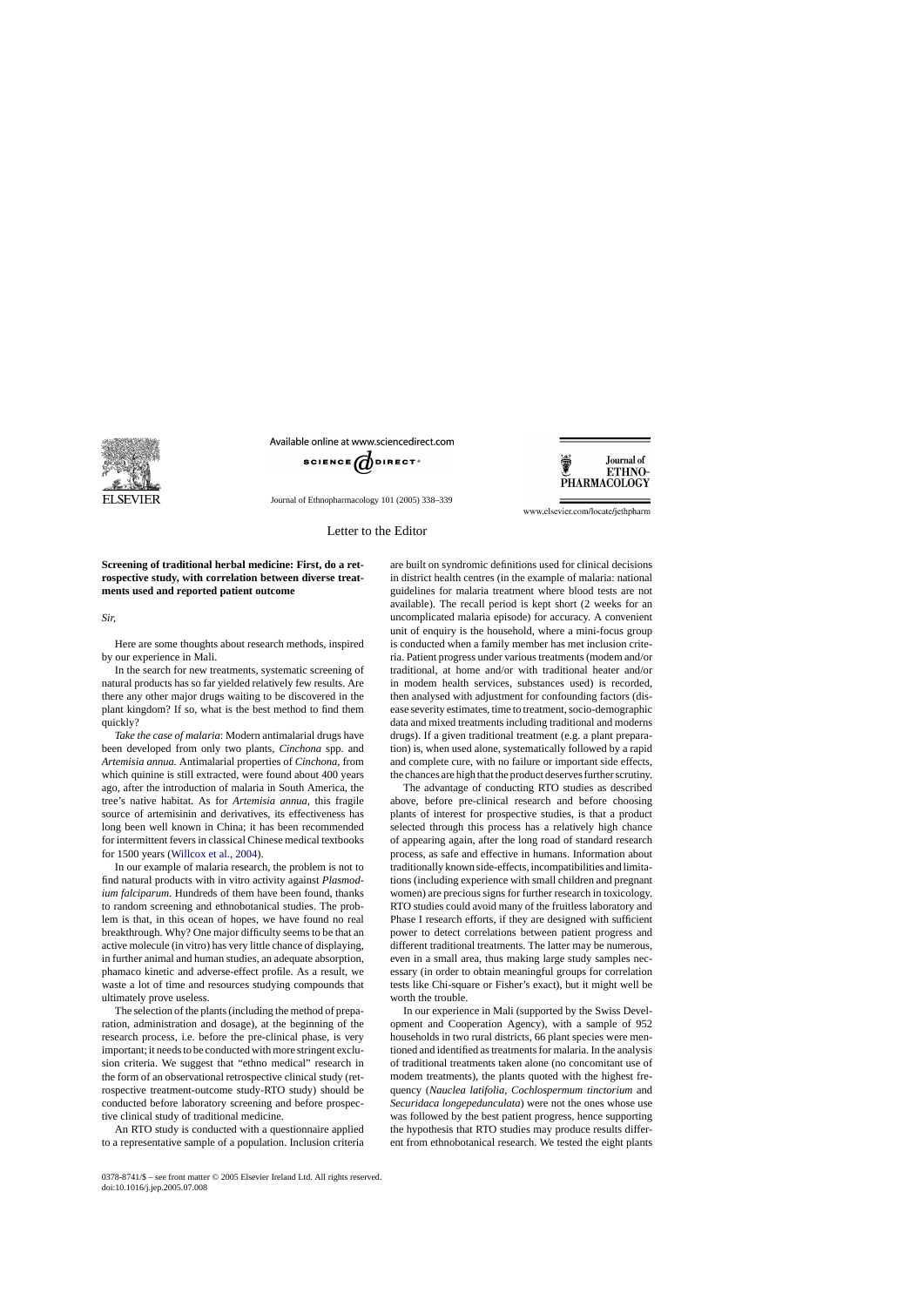

Available online at www.sciencedirect.com



Journal of Ethnopharmacology 101 (2005) 338–339

Journal of **ETHNO-**PHARMACOLOGY

www.elsevier.com/locate/jethpharm

## Letter to the Editor

## **Screening of traditional herbal medicine: First, do a retrospective study, with correlation between diverse treatments used and reported patient outcome**

*Sir,*

Here are some thoughts about research methods, inspired by our experience in Mali.

In the search for new treatments, systematic screening of natural products has so far yielded relatively few results. Are there any other major drugs waiting to be discovered in the plant kingdom? If so, what is the best method to find them quickly?

*Take the case of malaria*: Modern antimalarial drugs have been developed from only two plants, *Cinchona* spp. and *Artemisia annua.* Antimalarial properties of *Cinchona,* from which quinine is still extracted, were found about 400 years ago, after the introduction of malaria in South America, the tree's native habitat. As for *Artemisia annua*, this fragile source of artemisinin and derivatives, its effectiveness has long been well known in China; it has been recommended for intermittent fevers in classical Chinese medical textbooks for 1500 years [\(Willcox et al., 2004\).](#page-1-0)

In our example of malaria research, the problem is not to find natural products with in vitro activity against *Plasmodium falciparum*. Hundreds of them have been found, thanks to random screening and ethnobotanical studies. The problem is that, in this ocean of hopes, we have found no real breakthrough. Why? One major difficulty seems to be that an active molecule (in vitro) has very little chance of displaying, in further animal and human studies, an adequate absorption, phamaco kinetic and adverse-effect profile. As a result, we waste a lot of time and resources studying compounds that ultimately prove useless.

The selection of the plants (including the method of preparation, administration and dosage), at the beginning of the research process, i.e. before the pre-clinical phase, is very important; it needs to be conducted with more stringent exclusion criteria. We suggest that "ethno medical" research in the form of an observational retrospective clinical study (retrospective treatment-outcome study-RTO study) should be conducted before laboratory screening and before prospective clinical study of traditional medicine.

An RTO study is conducted with a questionnaire applied to a representative sample of a population. Inclusion criteria are built on syndromic definitions used for clinical decisions in district health centres (in the example of malaria: national guidelines for malaria treatment where blood tests are not available). The recall period is kept short (2 weeks for an uncomplicated malaria episode) for accuracy. A convenient unit of enquiry is the household, where a mini-focus group is conducted when a family member has met inclusion criteria. Patient progress under various treatments (modem and/or traditional, at home and/or with traditional heater and/or in modem health services, substances used) is recorded, then analysed with adjustment for confounding factors (disease severity estimates, time to treatment, socio-demographic data and mixed treatments including traditional and moderns drugs). If a given traditional treatment (e.g. a plant preparation) is, when used alone, systematically followed by a rapid and complete cure, with no failure or important side effects, the chances are high that the product deserves further scrutiny.

The advantage of conducting RTO studies as described above, before pre-clinical research and before choosing plants of interest for prospective studies, is that a product selected through this process has a relatively high chance of appearing again, after the long road of standard research process, as safe and effective in humans. Information about traditionally known side-effects, incompatibilities and limitations (including experience with small children and pregnant women) are precious signs for further research in toxicology. RTO studies could avoid many of the fruitless laboratory and Phase I research efforts, if they are designed with sufficient power to detect correlations between patient progress and different traditional treatments. The latter may be numerous, even in a small area, thus making large study samples necessary (in order to obtain meaningful groups for correlation tests like Chi-square or Fisher's exact), but it might well be worth the trouble.

In our experience in Mali (supported by the Swiss Development and Cooperation Agency), with a sample of 952 households in two rural districts, 66 plant species were mentioned and identified as treatments for malaria. In the analysis of traditional treatments taken alone (no concomitant use of modem treatments), the plants quoted with the highest frequency (*Nauclea latifolia*, *Cochlospermum tinctorium* and *Securidaca longepedunculata*) were not the ones whose use was followed by the best patient progress, hence supporting the hypothesis that RTO studies may produce results different from ethnobotanical research. We tested the eight plants

<sup>0378-8741/\$ –</sup> see front matter © 2005 Elsevier Ireland Ltd. All rights reserved. doi:10.1016/j.jep.2005.07.008